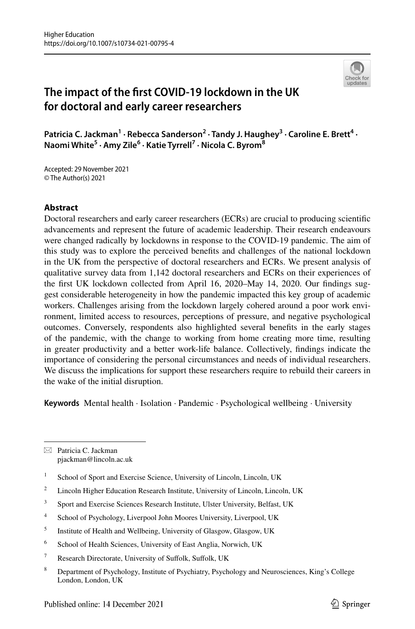

# **The impact of the frst COVID‑19 lockdown in the UK for doctoral and early career researchers**

Patricia C. Jackman<sup>1</sup> · Rebecca Sanderson<sup>2</sup> · Tandy J. Haughey<sup>3</sup> · Caroline E. Brett<sup>4</sup> · **Naomi White5 · Amy Zile6 · Katie Tyrrell7 · Nicola C. Byrom8**

Accepted: 29 November 2021 © The Author(s) 2021

#### **Abstract**

Doctoral researchers and early career researchers (ECRs) are crucial to producing scientifc advancements and represent the future of academic leadership. Their research endeavours were changed radically by lockdowns in response to the COVID-19 pandemic. The aim of this study was to explore the perceived benefts and challenges of the national lockdown in the UK from the perspective of doctoral researchers and ECRs. We present analysis of qualitative survey data from 1,142 doctoral researchers and ECRs on their experiences of the frst UK lockdown collected from April 16, 2020–May 14, 2020. Our fndings suggest considerable heterogeneity in how the pandemic impacted this key group of academic workers. Challenges arising from the lockdown largely cohered around a poor work environment, limited access to resources, perceptions of pressure, and negative psychological outcomes. Conversely, respondents also highlighted several benefts in the early stages of the pandemic, with the change to working from home creating more time, resulting in greater productivity and a better work-life balance. Collectively, fndings indicate the importance of considering the personal circumstances and needs of individual researchers. We discuss the implications for support these researchers require to rebuild their careers in the wake of the initial disruption.

**Keywords** Mental health · Isolation · Pandemic · Psychological wellbeing · University

 $\boxtimes$  Patricia C. Jackman pjackman@lincoln.ac.uk

- <sup>2</sup> Lincoln Higher Education Research Institute, University of Lincoln, Lincoln, UK
- <sup>3</sup> Sport and Exercise Sciences Research Institute, Ulster University, Belfast, UK
- <sup>4</sup> School of Psychology, Liverpool John Moores University, Liverpool, UK
- <sup>5</sup> Institute of Health and Wellbeing, University of Glasgow, Glasgow, UK
- <sup>6</sup> School of Health Sciences, University of East Anglia, Norwich, UK
- <sup>7</sup> Research Directorate, University of Sufolk, Sufolk, UK
- <sup>8</sup> Department of Psychology, Institute of Psychiatry, Psychology and Neurosciences, King's College London, London, UK

<sup>&</sup>lt;sup>1</sup> School of Sport and Exercise Science, University of Lincoln, Lincoln, UK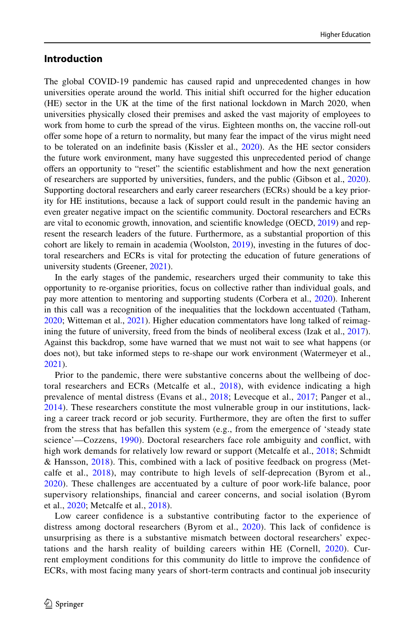#### **Introduction**

The global COVID-19 pandemic has caused rapid and unprecedented changes in how universities operate around the world. This initial shift occurred for the higher education (HE) sector in the UK at the time of the frst national lockdown in March 2020, when universities physically closed their premises and asked the vast majority of employees to work from home to curb the spread of the virus. Eighteen months on, the vaccine roll-out ofer some hope of a return to normality, but many fear the impact of the virus might need to be tolerated on an indefnite basis (Kissler et al., [2020\)](#page-16-0). As the HE sector considers the future work environment, many have suggested this unprecedented period of change ofers an opportunity to "reset" the scientifc establishment and how the next generation of researchers are supported by universities, funders, and the public (Gibson et al., [2020](#page-16-1)). Supporting doctoral researchers and early career researchers (ECRs) should be a key priority for HE institutions, because a lack of support could result in the pandemic having an even greater negative impact on the scientifc community. Doctoral researchers and ECRs are vital to economic growth, innovation, and scientifc knowledge (OECD, [2019\)](#page-17-0) and represent the research leaders of the future. Furthermore, as a substantial proportion of this cohort are likely to remain in academia (Woolston, [2019](#page-17-1)), investing in the futures of doctoral researchers and ECRs is vital for protecting the education of future generations of university students (Greener, [2021\)](#page-16-2).

In the early stages of the pandemic, researchers urged their community to take this opportunity to re-organise priorities, focus on collective rather than individual goals, and pay more attention to mentoring and supporting students (Corbera et al., [2020](#page-15-0)). Inherent in this call was a recognition of the inequalities that the lockdown accentuated (Tatham, [2020;](#page-17-2) Witteman et al., [2021\)](#page-17-3). Higher education commentators have long talked of reimagining the future of university, freed from the binds of neoliberal excess (Izak et al., [2017](#page-16-3)). Against this backdrop, some have warned that we must not wait to see what happens (or does not), but take informed steps to re-shape our work environment (Watermeyer et al., [2021\)](#page-17-4).

Prior to the pandemic, there were substantive concerns about the wellbeing of doctoral researchers and ECRs (Metcalfe et al., [2018](#page-16-4)), with evidence indicating a high prevalence of mental distress (Evans et al., [2018;](#page-16-5) Levecque et al., [2017](#page-16-6); Panger et al., [2014](#page-17-5)). These researchers constitute the most vulnerable group in our institutions, lacking a career track record or job security. Furthermore, they are often the frst to sufer from the stress that has befallen this system (e.g., from the emergence of 'steady state science'—Cozzens, [1990](#page-16-7)). Doctoral researchers face role ambiguity and confict, with high work demands for relatively low reward or support (Metcalfe et al., [2018;](#page-16-4) Schmidt & Hansson, [2018](#page-17-6)). This, combined with a lack of positive feedback on progress (Metcalfe et al., [2018\)](#page-16-4), may contribute to high levels of self-deprecation (Byrom et al., [2020](#page-15-1)). These challenges are accentuated by a culture of poor work-life balance, poor supervisory relationships, fnancial and career concerns, and social isolation (Byrom et al., [2020;](#page-15-1) Metcalfe et al., [2018\)](#page-16-4).

Low career confdence is a substantive contributing factor to the experience of distress among doctoral researchers (Byrom et al., [2020](#page-15-1)). This lack of confidence is unsurprising as there is a substantive mismatch between doctoral researchers' expectations and the harsh reality of building careers within HE (Cornell, [2020](#page-16-8)). Current employment conditions for this community do little to improve the confdence of ECRs, with most facing many years of short-term contracts and continual job insecurity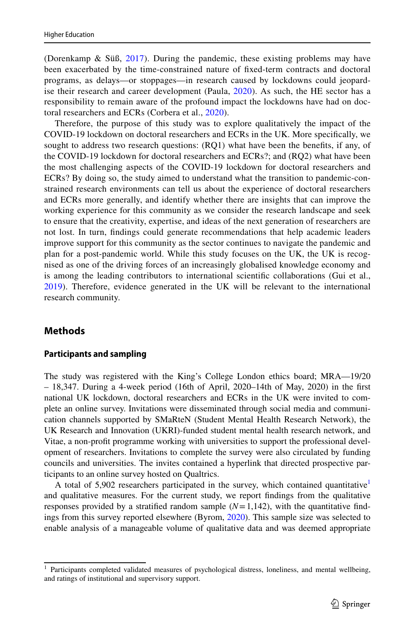(Dorenkamp & Süß, [2017\)](#page-16-9). During the pandemic, these existing problems may have been exacerbated by the time-constrained nature of fxed-term contracts and doctoral programs, as delays—or stoppages—in research caused by lockdowns could jeopardise their research and career development (Paula, [2020\)](#page-17-7). As such, the HE sector has a responsibility to remain aware of the profound impact the lockdowns have had on doctoral researchers and ECRs (Corbera et al., [2020](#page-15-0)).

Therefore, the purpose of this study was to explore qualitatively the impact of the COVID-19 lockdown on doctoral researchers and ECRs in the UK. More specifcally, we sought to address two research questions: (RQ1) what have been the benefts, if any, of the COVID-19 lockdown for doctoral researchers and ECRs?; and (RQ2) what have been the most challenging aspects of the COVID-19 lockdown for doctoral researchers and ECRs? By doing so, the study aimed to understand what the transition to pandemic-constrained research environments can tell us about the experience of doctoral researchers and ECRs more generally, and identify whether there are insights that can improve the working experience for this community as we consider the research landscape and seek to ensure that the creativity, expertise, and ideas of the next generation of researchers are not lost. In turn, fndings could generate recommendations that help academic leaders improve support for this community as the sector continues to navigate the pandemic and plan for a post-pandemic world. While this study focuses on the UK, the UK is recognised as one of the driving forces of an increasingly globalised knowledge economy and is among the leading contributors to international scientifc collaborations (Gui et al., [2019](#page-16-10)). Therefore, evidence generated in the UK will be relevant to the international research community.

#### **Methods**

#### **Participants and sampling**

The study was registered with the King's College London ethics board; MRA—19/20 – 18,347. During a 4-week period (16th of April, 2020–14th of May, 2020) in the frst national UK lockdown, doctoral researchers and ECRs in the UK were invited to complete an online survey. Invitations were disseminated through social media and communication channels supported by SMaRteN (Student Mental Health Research Network), the UK Research and Innovation (UKRI)-funded student mental health research network, and Vitae, a non-proft programme working with universities to support the professional development of researchers. Invitations to complete the survey were also circulated by funding councils and universities. The invites contained a hyperlink that directed prospective participants to an online survey hosted on Qualtrics.

A total of 5,902 researchers participated in the survey, which contained quantitative<sup>1</sup> and qualitative measures. For the current study, we report fndings from the qualitative responses provided by a stratified random sample  $(N=1,142)$ , with the quantitative findings from this survey reported elsewhere (Byrom, [2020\)](#page-15-2). This sample size was selected to enable analysis of a manageable volume of qualitative data and was deemed appropriate

<span id="page-2-0"></span><sup>1</sup> Participants completed validated measures of psychological distress, loneliness, and mental wellbeing, and ratings of institutional and supervisory support.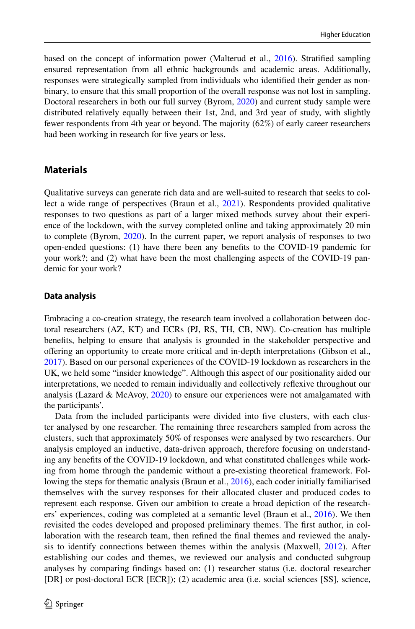based on the concept of information power (Malterud et al., [2016\)](#page-16-11). Stratifed sampling ensured representation from all ethnic backgrounds and academic areas. Additionally, responses were strategically sampled from individuals who identifed their gender as nonbinary, to ensure that this small proportion of the overall response was not lost in sampling. Doctoral researchers in both our full survey (Byrom, [2020\)](#page-15-2) and current study sample were distributed relatively equally between their 1st, 2nd, and 3rd year of study, with slightly fewer respondents from 4th year or beyond. The majority (62%) of early career researchers had been working in research for fve years or less.

### **Materials**

Qualitative surveys can generate rich data and are well-suited to research that seeks to collect a wide range of perspectives (Braun et al., [2021\)](#page-15-3). Respondents provided qualitative responses to two questions as part of a larger mixed methods survey about their experience of the lockdown, with the survey completed online and taking approximately 20 min to complete (Byrom, [2020\)](#page-15-2). In the current paper, we report analysis of responses to two open-ended questions: (1) have there been any benefts to the COVID-19 pandemic for your work?; and (2) what have been the most challenging aspects of the COVID-19 pandemic for your work?

#### **Data analysis**

Embracing a co-creation strategy, the research team involved a collaboration between doctoral researchers (AZ, KT) and ECRs (PJ, RS, TH, CB, NW). Co-creation has multiple benefts, helping to ensure that analysis is grounded in the stakeholder perspective and ofering an opportunity to create more critical and in-depth interpretations (Gibson et al., [2017\)](#page-16-12). Based on our personal experiences of the COVID-19 lockdown as researchers in the UK, we held some "insider knowledge". Although this aspect of our positionality aided our interpretations, we needed to remain individually and collectively refexive throughout our analysis (Lazard & McAvoy, [2020](#page-16-13)) to ensure our experiences were not amalgamated with the participants'.

Data from the included participants were divided into fve clusters, with each cluster analysed by one researcher. The remaining three researchers sampled from across the clusters, such that approximately 50% of responses were analysed by two researchers. Our analysis employed an inductive, data-driven approach, therefore focusing on understanding any benefts of the COVID-19 lockdown, and what constituted challenges while working from home through the pandemic without a pre-existing theoretical framework. Following the steps for thematic analysis (Braun et al., [2016\)](#page-15-4), each coder initially familiarised themselves with the survey responses for their allocated cluster and produced codes to represent each response. Given our ambition to create a broad depiction of the researchers' experiences, coding was completed at a semantic level (Braun et al., [2016\)](#page-15-4). We then revisited the codes developed and proposed preliminary themes. The frst author, in collaboration with the research team, then refned the fnal themes and reviewed the analysis to identify connections between themes within the analysis (Maxwell, [2012\)](#page-16-14). After establishing our codes and themes, we reviewed our analysis and conducted subgroup analyses by comparing fndings based on: (1) researcher status (i.e. doctoral researcher [DR] or post-doctoral ECR [ECR]); (2) academic area (i.e. social sciences [SS], science,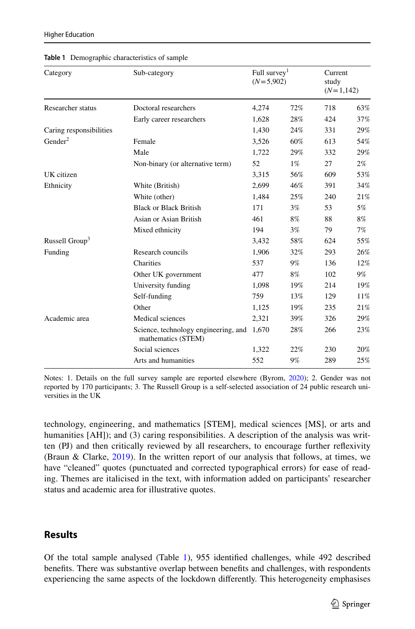| Category                   | Sub-category<br>Doctoral researchers                       | Full survey <sup>1</sup><br>$(N=5,902)$ |       | Current<br>study<br>$(N=1,142)$ |       |
|----------------------------|------------------------------------------------------------|-----------------------------------------|-------|---------------------------------|-------|
| Researcher status          |                                                            | 4,274                                   | 72%   | 718                             | 63%   |
|                            | Early career researchers                                   | 1,628                                   | 28%   | 424                             | 37%   |
| Caring responsibilities    |                                                            | 1,430                                   | 24%   | 331                             | 29%   |
| Gender <sup>2</sup>        | Female                                                     | 3,526                                   | 60%   | 613                             | 54%   |
|                            | Male                                                       | 1,722                                   | 29%   | 332                             | 29%   |
|                            | Non-binary (or alternative term)                           | 52                                      | $1\%$ | 27                              | $2\%$ |
| UK citizen                 |                                                            | 3,315                                   | 56%   | 609                             | 53%   |
| Ethnicity                  | White (British)                                            | 2,699                                   | 46%   | 391                             | 34%   |
|                            | White (other)                                              | 1,484                                   | 25%   | 240                             | 21%   |
|                            | <b>Black or Black British</b>                              | 171                                     | 3%    | 53                              | 5%    |
|                            | Asian or Asian British                                     | 461                                     | 8%    | 88                              | 8%    |
|                            | Mixed ethnicity                                            | 194                                     | $3\%$ | 79                              | $7\%$ |
| Russell Group <sup>3</sup> |                                                            | 3,432                                   | 58%   | 624                             | 55%   |
| Funding                    | Research councils                                          | 1,906                                   | 32%   | 293                             | 26%   |
|                            | Charities                                                  | 537                                     | $9\%$ | 136                             | 12%   |
|                            | Other UK government                                        | 477                                     | $8\%$ | 102                             | 9%    |
|                            | University funding                                         | 1,098                                   | 19%   | 214                             | 19%   |
|                            | Self-funding                                               | 759                                     | 13%   | 129                             | 11%   |
|                            | Other                                                      | 1,125                                   | 19%   | 235                             | 21%   |
| Academic area              | Medical sciences                                           | 2,321                                   | 39%   | 326                             | 29%   |
|                            | Science, technology engineering, and<br>mathematics (STEM) | 1,670                                   | 28%   | 266                             | 23%   |
|                            | Social sciences                                            | 1,322                                   | 22%   | 230                             | 20%   |
|                            | Arts and humanities                                        | 552                                     | 9%    | 289                             | 25%   |

<span id="page-4-0"></span>**Table 1** Demographic characteristics of sample

Notes: 1. Details on the full survey sample are reported elsewhere (Byrom, [2020\)](#page-15-2); 2. Gender was not reported by 170 participants; 3. The Russell Group is a self-selected association of 24 public research universities in the UK

technology, engineering, and mathematics [STEM], medical sciences [MS], or arts and humanities [AH]); and (3) caring responsibilities. A description of the analysis was written (PJ) and then critically reviewed by all researchers, to encourage further refexivity (Braun & Clarke, [2019](#page-15-5)). In the written report of our analysis that follows, at times, we have "cleaned" quotes (punctuated and corrected typographical errors) for ease of reading. Themes are italicised in the text, with information added on participants' researcher status and academic area for illustrative quotes.

### **Results**

Of the total sample analysed (Table [1\)](#page-4-0), 955 identifed challenges, while 492 described benefts. There was substantive overlap between benefts and challenges, with respondents experiencing the same aspects of the lockdown diferently. This heterogeneity emphasises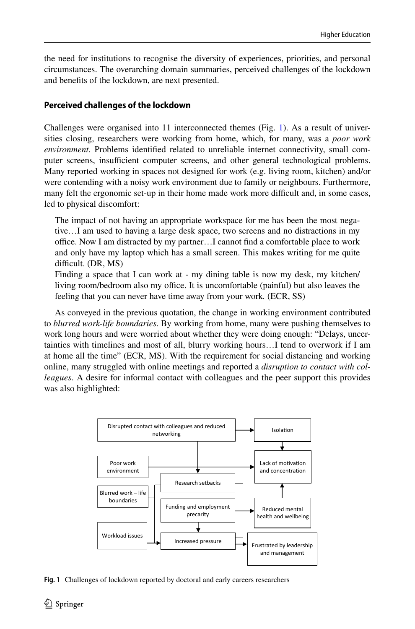the need for institutions to recognise the diversity of experiences, priorities, and personal circumstances. The overarching domain summaries, perceived challenges of the lockdown and benefts of the lockdown, are next presented.

#### **Perceived challenges of the lockdown**

Challenges were organised into 11 interconnected themes (Fig. [1](#page-5-0)). As a result of universities closing, researchers were working from home, which, for many, was a *poor work environment*. Problems identifed related to unreliable internet connectivity, small computer screens, insufficient computer screens, and other general technological problems. Many reported working in spaces not designed for work (e.g. living room, kitchen) and/or were contending with a noisy work environment due to family or neighbours. Furthermore, many felt the ergonomic set-up in their home made work more difficult and, in some cases, led to physical discomfort:

The impact of not having an appropriate workspace for me has been the most negative…I am used to having a large desk space, two screens and no distractions in my office. Now I am distracted by my partner...I cannot find a comfortable place to work and only have my laptop which has a small screen. This makes writing for me quite difficult. (DR, MS)

Finding a space that I can work at - my dining table is now my desk, my kitchen/ living room/bedroom also my office. It is uncomfortable (painful) but also leaves the feeling that you can never have time away from your work*.* (ECR, SS)

As conveyed in the previous quotation, the change in working environment contributed to *blurred work-life boundaries*. By working from home, many were pushing themselves to work long hours and were worried about whether they were doing enough: "Delays, uncertainties with timelines and most of all, blurry working hours…I tend to overwork if I am at home all the time" (ECR, MS). With the requirement for social distancing and working online, many struggled with online meetings and reported a *disruption to contact with colleagues*. A desire for informal contact with colleagues and the peer support this provides was also highlighted:



<span id="page-5-0"></span>**Fig. 1** Challenges of lockdown reported by doctoral and early careers researchers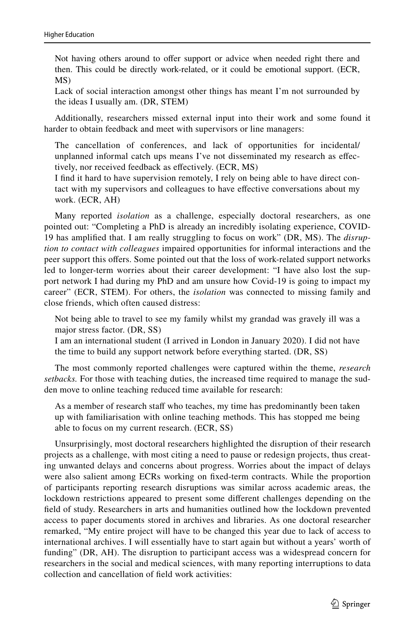Not having others around to offer support or advice when needed right there and then. This could be directly work-related, or it could be emotional support. (ECR, MS)

Lack of social interaction amongst other things has meant I'm not surrounded by the ideas I usually am. (DR, STEM)

Additionally, researchers missed external input into their work and some found it harder to obtain feedback and meet with supervisors or line managers:

The cancellation of conferences, and lack of opportunities for incidental/ unplanned informal catch ups means I've not disseminated my research as efectively, nor received feedback as efectively. (ECR, MS)

I fnd it hard to have supervision remotely, I rely on being able to have direct contact with my supervisors and colleagues to have efective conversations about my work. (ECR, AH)

Many reported *isolation* as a challenge, especially doctoral researchers, as one pointed out: "Completing a PhD is already an incredibly isolating experience, COVID-19 has amplifed that. I am really struggling to focus on work" (DR, MS). The *disruption to contact with colleagues* impaired opportunities for informal interactions and the peer support this ofers. Some pointed out that the loss of work-related support networks led to longer-term worries about their career development: "I have also lost the support network I had during my PhD and am unsure how Covid-19 is going to impact my career" (ECR, STEM). For others, the *isolation* was connected to missing family and close friends, which often caused distress:

Not being able to travel to see my family whilst my grandad was gravely ill was a major stress factor. (DR, SS)

I am an international student (I arrived in London in January 2020). I did not have the time to build any support network before everything started. (DR, SS)

The most commonly reported challenges were captured within the theme, *research setbacks.* For those with teaching duties, the increased time required to manage the sudden move to online teaching reduced time available for research:

As a member of research staff who teaches, my time has predominantly been taken up with familiarisation with online teaching methods. This has stopped me being able to focus on my current research. (ECR, SS)

Unsurprisingly, most doctoral researchers highlighted the disruption of their research projects as a challenge, with most citing a need to pause or redesign projects, thus creating unwanted delays and concerns about progress. Worries about the impact of delays were also salient among ECRs working on fxed-term contracts. While the proportion of participants reporting research disruptions was similar across academic areas, the lockdown restrictions appeared to present some diferent challenges depending on the feld of study. Researchers in arts and humanities outlined how the lockdown prevented access to paper documents stored in archives and libraries. As one doctoral researcher remarked, "My entire project will have to be changed this year due to lack of access to international archives. I will essentially have to start again but without a years' worth of funding" (DR, AH). The disruption to participant access was a widespread concern for researchers in the social and medical sciences, with many reporting interruptions to data collection and cancellation of feld work activities: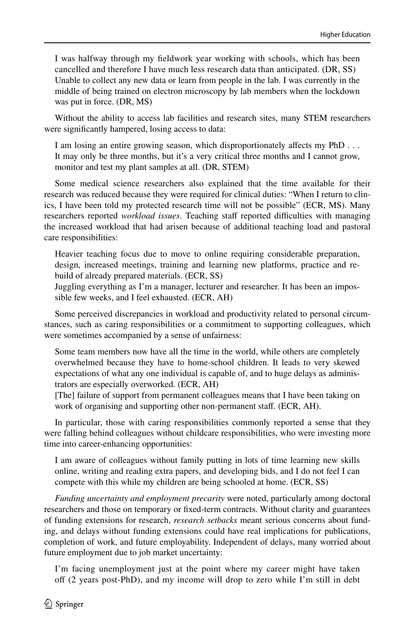I was halfway through my feldwork year working with schools, which has been cancelled and therefore I have much less research data than anticipated. (DR, SS) Unable to collect any new data or learn from people in the lab. I was currently in the middle of being trained on electron microscopy by lab members when the lockdown was put in force. (DR, MS)

Without the ability to access lab facilities and research sites, many STEM researchers were signifcantly hampered, losing access to data:

I am losing an entire growing season, which disproportionately afects my PhD . . . It may only be three months, but it's a very critical three months and I cannot grow, monitor and test my plant samples at all. (DR, STEM)

Some medical science researchers also explained that the time available for their research was reduced because they were required for clinical duties: "When I return to clinics, I have been told my protected research time will not be possible" (ECR, MS). Many researchers reported *workload issues*. Teaching staff reported difficulties with managing the increased workload that had arisen because of additional teaching load and pastoral care responsibilities:

Heavier teaching focus due to move to online requiring considerable preparation, design, increased meetings, training and learning new platforms, practice and rebuild of already prepared materials. (ECR, SS)

Juggling everything as I'm a manager, lecturer and researcher. It has been an impossible few weeks, and I feel exhausted. (ECR, AH)

Some perceived discrepancies in workload and productivity related to personal circumstances, such as caring responsibilities or a commitment to supporting colleagues, which were sometimes accompanied by a sense of unfairness:

Some team members now have all the time in the world, while others are completely overwhelmed because they have to home-school children. It leads to very skewed expectations of what any one individual is capable of, and to huge delays as administrators are especially overworked. (ECR, AH)

[The] failure of support from permanent colleagues means that I have been taking on work of organising and supporting other non-permanent staff. (ECR, AH).

In particular, those with caring responsibilities commonly reported a sense that they were falling behind colleagues without childcare responsibilities, who were investing more time into career-enhancing opportunities:

I am aware of colleagues without family putting in lots of time learning new skills online, writing and reading extra papers, and developing bids, and I do not feel I can compete with this while my children are being schooled at home. (ECR, SS)

*Funding uncertainty and employment precarity* were noted, particularly among doctoral researchers and those on temporary or fxed-term contracts. Without clarity and guarantees of funding extensions for research, *research setbacks* meant serious concerns about funding, and delays without funding extensions could have real implications for publications, completion of work, and future employability. Independent of delays, many worried about future employment due to job market uncertainty:

I'm facing unemployment just at the point where my career might have taken of (2 years post-PhD), and my income will drop to zero while I'm still in debt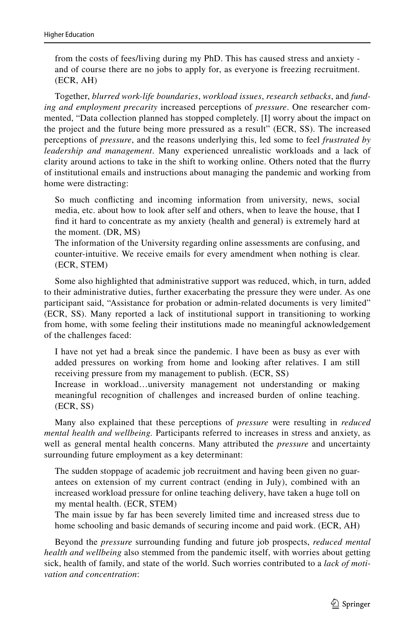from the costs of fees/living during my PhD. This has caused stress and anxiety and of course there are no jobs to apply for, as everyone is freezing recruitment. (ECR, AH)

Together, *blurred work-life boundaries*, *workload issues*, *research setbacks*, and *funding and employment precarity* increased perceptions of *pressure*. One researcher commented, "Data collection planned has stopped completely. [I] worry about the impact on the project and the future being more pressured as a result" (ECR, SS). The increased perceptions of *pressure*, and the reasons underlying this, led some to feel *frustrated by leadership and management*. Many experienced unrealistic workloads and a lack of clarity around actions to take in the shift to working online. Others noted that the furry of institutional emails and instructions about managing the pandemic and working from home were distracting:

So much conficting and incoming information from university, news, social media, etc. about how to look after self and others, when to leave the house, that I fnd it hard to concentrate as my anxiety (health and general) is extremely hard at the moment. (DR, MS)

The information of the University regarding online assessments are confusing, and counter-intuitive. We receive emails for every amendment when nothing is clear. (ECR, STEM)

Some also highlighted that administrative support was reduced, which, in turn, added to their administrative duties, further exacerbating the pressure they were under. As one participant said, "Assistance for probation or admin-related documents is very limited" (ECR, SS). Many reported a lack of institutional support in transitioning to working from home, with some feeling their institutions made no meaningful acknowledgement of the challenges faced:

I have not yet had a break since the pandemic. I have been as busy as ever with added pressures on working from home and looking after relatives. I am still receiving pressure from my management to publish. (ECR, SS)

Increase in workload…university management not understanding or making meaningful recognition of challenges and increased burden of online teaching. (ECR, SS)

Many also explained that these perceptions of *pressure* were resulting in *reduced mental health and wellbeing.* Participants referred to increases in stress and anxiety, as well as general mental health concerns. Many attributed the *pressure* and uncertainty surrounding future employment as a key determinant:

The sudden stoppage of academic job recruitment and having been given no guarantees on extension of my current contract (ending in July), combined with an increased workload pressure for online teaching delivery, have taken a huge toll on my mental health. (ECR, STEM)

The main issue by far has been severely limited time and increased stress due to home schooling and basic demands of securing income and paid work. (ECR, AH)

Beyond the *pressure* surrounding funding and future job prospects, *reduced mental health and wellbeing* also stemmed from the pandemic itself, with worries about getting sick, health of family, and state of the world. Such worries contributed to a *lack of motivation and concentration*: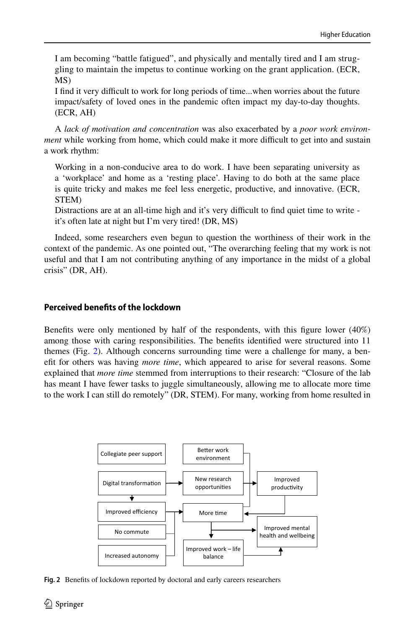I am becoming "battle fatigued", and physically and mentally tired and I am struggling to maintain the impetus to continue working on the grant application. (ECR, MS)

I fnd it very difcult to work for long periods of time...when worries about the future impact/safety of loved ones in the pandemic often impact my day-to-day thoughts. (ECR, AH)

A *lack of motivation and concentration* was also exacerbated by a *poor work environment* while working from home, which could make it more difficult to get into and sustain a work rhythm:

Working in a non-conducive area to do work. I have been separating university as a 'workplace' and home as a 'resting place'. Having to do both at the same place is quite tricky and makes me feel less energetic, productive, and innovative. (ECR, STEM)

Distractions are at an all-time high and it's very difficult to find quiet time to write it's often late at night but I'm very tired! (DR, MS)

Indeed, some researchers even begun to question the worthiness of their work in the context of the pandemic. As one pointed out, "The overarching feeling that my work is not useful and that I am not contributing anything of any importance in the midst of a global crisis" (DR, AH).

#### **Perceived benefts of the lockdown**

Benefts were only mentioned by half of the respondents, with this fgure lower (40%) among those with caring responsibilities. The benefts identifed were structured into 11 themes (Fig. [2](#page-9-0)). Although concerns surrounding time were a challenge for many, a beneft for others was having *more time*, which appeared to arise for several reasons. Some explained that *more time* stemmed from interruptions to their research: "Closure of the lab has meant I have fewer tasks to juggle simultaneously, allowing me to allocate more time to the work I can still do remotely" (DR, STEM). For many, working from home resulted in



<span id="page-9-0"></span>**Fig. 2** Benefts of lockdown reported by doctoral and early careers researchers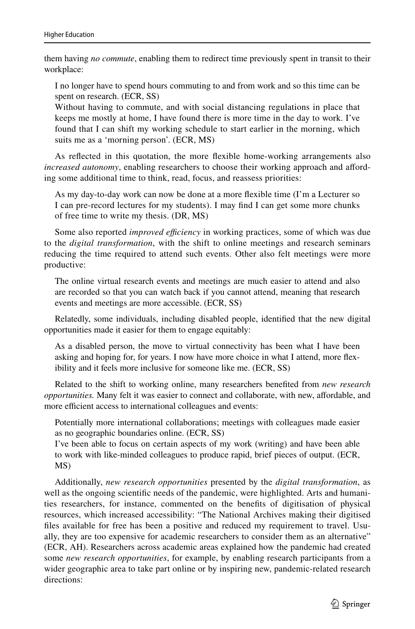them having *no commute*, enabling them to redirect time previously spent in transit to their workplace:

I no longer have to spend hours commuting to and from work and so this time can be spent on research. (ECR, SS)

Without having to commute, and with social distancing regulations in place that keeps me mostly at home, I have found there is more time in the day to work. I've found that I can shift my working schedule to start earlier in the morning, which suits me as a 'morning person'. (ECR, MS)

As refected in this quotation, the more fexible home-working arrangements also *increased autonomy*, enabling researchers to choose their working approach and affording some additional time to think, read, focus, and reassess priorities:

As my day-to-day work can now be done at a more fexible time (I'm a Lecturer so I can pre-record lectures for my students). I may fnd I can get some more chunks of free time to write my thesis. (DR, MS)

Some also reported *improved efficiency* in working practices, some of which was due to the *digital transformation*, with the shift to online meetings and research seminars reducing the time required to attend such events. Other also felt meetings were more productive:

The online virtual research events and meetings are much easier to attend and also are recorded so that you can watch back if you cannot attend, meaning that research events and meetings are more accessible. (ECR, SS)

Relatedly, some individuals, including disabled people, identifed that the new digital opportunities made it easier for them to engage equitably:

As a disabled person, the move to virtual connectivity has been what I have been asking and hoping for, for years. I now have more choice in what I attend, more fexibility and it feels more inclusive for someone like me. (ECR, SS)

Related to the shift to working online, many researchers benefted from *new research opportunities.* Many felt it was easier to connect and collaborate, with new, afordable, and more efficient access to international colleagues and events:

Potentially more international collaborations; meetings with colleagues made easier as no geographic boundaries online. (ECR, SS)

I've been able to focus on certain aspects of my work (writing) and have been able to work with like-minded colleagues to produce rapid, brief pieces of output. (ECR, MS)

Additionally, *new research opportunities* presented by the *digital transformation*, as well as the ongoing scientifc needs of the pandemic, were highlighted. Arts and humanities researchers, for instance, commented on the benefts of digitisation of physical resources, which increased accessibility: "The National Archives making their digitised fles available for free has been a positive and reduced my requirement to travel. Usually, they are too expensive for academic researchers to consider them as an alternative" (ECR, AH). Researchers across academic areas explained how the pandemic had created some *new research opportunities*, for example, by enabling research participants from a wider geographic area to take part online or by inspiring new, pandemic-related research directions: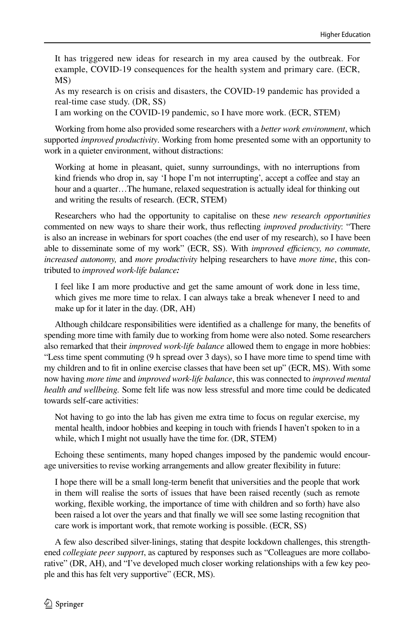It has triggered new ideas for research in my area caused by the outbreak. For example, COVID-19 consequences for the health system and primary care. (ECR, MS)

As my research is on crisis and disasters, the COVID-19 pandemic has provided a real-time case study. (DR, SS)

I am working on the COVID-19 pandemic, so I have more work. (ECR, STEM)

Working from home also provided some researchers with a *better work environment*, which supported *improved productivity*. Working from home presented some with an opportunity to work in a quieter environment, without distractions:

Working at home in pleasant, quiet, sunny surroundings, with no interruptions from kind friends who drop in, say 'I hope I'm not interrupting', accept a coffee and stay an hour and a quarter...The humane, relaxed sequestration is actually ideal for thinking out and writing the results of research. (ECR, STEM)

Researchers who had the opportunity to capitalise on these *new research opportunities* commented on new ways to share their work, thus refecting *improved productivity*: "There is also an increase in webinars for sport coaches (the end user of my research), so I have been able to disseminate some of my work" (ECR, SS). With *improved efficiency, no commute, increased autonomy,* and *more productivity* helping researchers to have *more time*, this contributed to *improved work-life balance:*

I feel like I am more productive and get the same amount of work done in less time, which gives me more time to relax. I can always take a break whenever I need to and make up for it later in the day. (DR, AH)

Although childcare responsibilities were identifed as a challenge for many, the benefts of spending more time with family due to working from home were also noted. Some researchers also remarked that their *improved work-life balance* allowed them to engage in more hobbies: "Less time spent commuting (9 h spread over 3 days), so I have more time to spend time with my children and to ft in online exercise classes that have been set up" (ECR, MS). With some now having *more time* and *improved work-life balance*, this was connected to *improved mental health and wellbeing.* Some felt life was now less stressful and more time could be dedicated towards self-care activities:

Not having to go into the lab has given me extra time to focus on regular exercise, my mental health, indoor hobbies and keeping in touch with friends I haven't spoken to in a while, which I might not usually have the time for. (DR, STEM)

Echoing these sentiments, many hoped changes imposed by the pandemic would encourage universities to revise working arrangements and allow greater fexibility in future:

I hope there will be a small long-term beneft that universities and the people that work in them will realise the sorts of issues that have been raised recently (such as remote working, fexible working, the importance of time with children and so forth) have also been raised a lot over the years and that fnally we will see some lasting recognition that care work is important work, that remote working is possible. (ECR, SS)

A few also described silver-linings, stating that despite lockdown challenges, this strengthened *collegiate peer support*, as captured by responses such as "Colleagues are more collaborative" (DR, AH), and "I've developed much closer working relationships with a few key people and this has felt very supportive" (ECR, MS).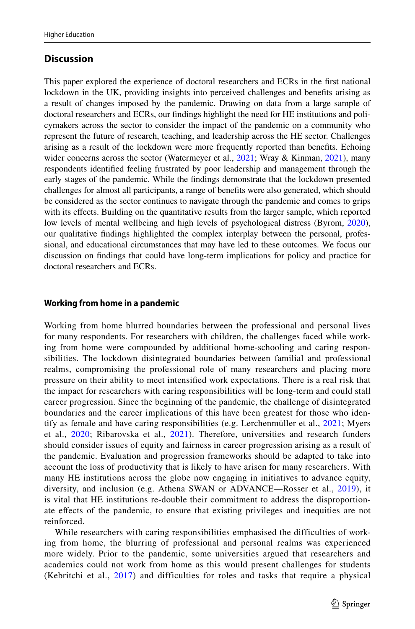## **Discussion**

This paper explored the experience of doctoral researchers and ECRs in the frst national lockdown in the UK, providing insights into perceived challenges and benefts arising as a result of changes imposed by the pandemic. Drawing on data from a large sample of doctoral researchers and ECRs, our fndings highlight the need for HE institutions and policymakers across the sector to consider the impact of the pandemic on a community who represent the future of research, teaching, and leadership across the HE sector. Challenges arising as a result of the lockdown were more frequently reported than benefts. Echoing wider concerns across the sector (Watermeyer et al., [2021;](#page-17-4) Wray & Kinman, [2021](#page-17-8)), many respondents identifed feeling frustrated by poor leadership and management through the early stages of the pandemic. While the fndings demonstrate that the lockdown presented challenges for almost all participants, a range of benefts were also generated, which should be considered as the sector continues to navigate through the pandemic and comes to grips with its efects. Building on the quantitative results from the larger sample, which reported low levels of mental wellbeing and high levels of psychological distress (Byrom, [2020](#page-15-2)), our qualitative fndings highlighted the complex interplay between the personal, professional, and educational circumstances that may have led to these outcomes. We focus our discussion on fndings that could have long-term implications for policy and practice for doctoral researchers and ECRs.

#### **Working from home in a pandemic**

Working from home blurred boundaries between the professional and personal lives for many respondents. For researchers with children, the challenges faced while working from home were compounded by additional home-schooling and caring responsibilities. The lockdown disintegrated boundaries between familial and professional realms, compromising the professional role of many researchers and placing more pressure on their ability to meet intensifed work expectations. There is a real risk that the impact for researchers with caring responsibilities will be long-term and could stall career progression. Since the beginning of the pandemic, the challenge of disintegrated boundaries and the career implications of this have been greatest for those who identify as female and have caring responsibilities (e.g. Lerchenmüller et al., [2021;](#page-16-15) Myers et al., [2020](#page-17-9); Ribarovska et al., [2021](#page-17-10)). Therefore, universities and research funders should consider issues of equity and fairness in career progression arising as a result of the pandemic. Evaluation and progression frameworks should be adapted to take into account the loss of productivity that is likely to have arisen for many researchers. With many HE institutions across the globe now engaging in initiatives to advance equity, diversity, and inclusion (e.g. Athena SWAN or ADVANCE—Rosser et al., [2019](#page-17-11)), it is vital that HE institutions re-double their commitment to address the disproportionate efects of the pandemic, to ensure that existing privileges and inequities are not reinforced.

While researchers with caring responsibilities emphasised the difficulties of working from home, the blurring of professional and personal realms was experienced more widely. Prior to the pandemic, some universities argued that researchers and academics could not work from home as this would present challenges for students (Kebritchi et al., [2017\)](#page-16-16) and difficulties for roles and tasks that require a physical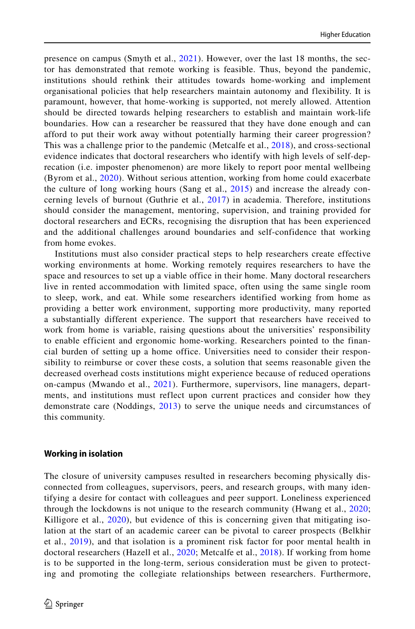presence on campus (Smyth et al., [2021\)](#page-17-12). However, over the last 18 months, the sector has demonstrated that remote working is feasible. Thus, beyond the pandemic, institutions should rethink their attitudes towards home-working and implement organisational policies that help researchers maintain autonomy and flexibility. It is paramount, however, that home-working is supported, not merely allowed. Attention should be directed towards helping researchers to establish and maintain work-life boundaries. How can a researcher be reassured that they have done enough and can afford to put their work away without potentially harming their career progression? This was a challenge prior to the pandemic (Metcalfe et al., [2018](#page-16-4)), and cross-sectional evidence indicates that doctoral researchers who identify with high levels of self-deprecation (i.e. imposter phenomenon) are more likely to report poor mental wellbeing (Byrom et al., [2020\)](#page-15-1). Without serious attention, working from home could exacerbate the culture of long working hours (Sang et al., [2015](#page-17-13)) and increase the already concerning levels of burnout (Guthrie et al.,  $2017$ ) in academia. Therefore, institutions should consider the management, mentoring, supervision, and training provided for doctoral researchers and ECRs, recognising the disruption that has been experienced and the additional challenges around boundaries and self-confidence that working from home evokes.

Institutions must also consider practical steps to help researchers create effective working environments at home. Working remotely requires researchers to have the space and resources to set up a viable office in their home. Many doctoral researchers live in rented accommodation with limited space, often using the same single room to sleep, work, and eat. While some researchers identified working from home as providing a better work environment, supporting more productivity, many reported a substantially different experience. The support that researchers have received to work from home is variable, raising questions about the universities' responsibility to enable efficient and ergonomic home-working. Researchers pointed to the financial burden of setting up a home office. Universities need to consider their responsibility to reimburse or cover these costs, a solution that seems reasonable given the decreased overhead costs institutions might experience because of reduced operations on-campus (Mwando et al., [2021\)](#page-17-14). Furthermore, supervisors, line managers, departments, and institutions must reflect upon current practices and consider how they demonstrate care (Noddings, [2013](#page-17-15)) to serve the unique needs and circumstances of this community.

#### **Working in isolation**

The closure of university campuses resulted in researchers becoming physically disconnected from colleagues, supervisors, peers, and research groups, with many identifying a desire for contact with colleagues and peer support. Loneliness experienced through the lockdowns is not unique to the research community (Hwang et al., [2020;](#page-16-18) Killigore et al., [2020\)](#page-16-19), but evidence of this is concerning given that mitigating isolation at the start of an academic career can be pivotal to career prospects (Belkhir et al., [2019\)](#page-15-6), and that isolation is a prominent risk factor for poor mental health in doctoral researchers (Hazell et al., [2020](#page-16-20); Metcalfe et al., [2018](#page-16-4)). If working from home is to be supported in the long-term, serious consideration must be given to protecting and promoting the collegiate relationships between researchers. Furthermore,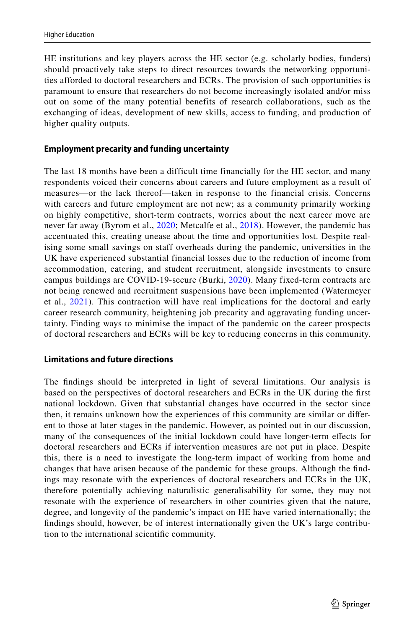HE institutions and key players across the HE sector (e.g. scholarly bodies, funders) should proactively take steps to direct resources towards the networking opportunities afforded to doctoral researchers and ECRs. The provision of such opportunities is paramount to ensure that researchers do not become increasingly isolated and/or miss out on some of the many potential benefits of research collaborations, such as the exchanging of ideas, development of new skills, access to funding, and production of higher quality outputs.

#### **Employment precarity and funding uncertainty**

The last 18 months have been a difficult time financially for the HE sector, and many respondents voiced their concerns about careers and future employment as a result of measures—or the lack thereof—taken in response to the financial crisis. Concerns with careers and future employment are not new; as a community primarily working on highly competitive, short-term contracts, worries about the next career move are never far away (Byrom et al., [2020;](#page-15-1) Metcalfe et al., [2018\)](#page-16-4). However, the pandemic has accentuated this, creating unease about the time and opportunities lost. Despite realising some small savings on staff overheads during the pandemic, universities in the UK have experienced substantial financial losses due to the reduction of income from accommodation, catering, and student recruitment, alongside investments to ensure campus buildings are COVID-19-secure (Burki, [2020](#page-15-7)). Many fixed-term contracts are not being renewed and recruitment suspensions have been implemented (Watermeyer et al., [2021\)](#page-17-4). This contraction will have real implications for the doctoral and early career research community, heightening job precarity and aggravating funding uncertainty. Finding ways to minimise the impact of the pandemic on the career prospects of doctoral researchers and ECRs will be key to reducing concerns in this community.

#### **Limitations and future directions**

The fndings should be interpreted in light of several limitations. Our analysis is based on the perspectives of doctoral researchers and ECRs in the UK during the frst national lockdown. Given that substantial changes have occurred in the sector since then, it remains unknown how the experiences of this community are similar or diferent to those at later stages in the pandemic. However, as pointed out in our discussion, many of the consequences of the initial lockdown could have longer-term efects for doctoral researchers and ECRs if intervention measures are not put in place. Despite this, there is a need to investigate the long-term impact of working from home and changes that have arisen because of the pandemic for these groups. Although the fndings may resonate with the experiences of doctoral researchers and ECRs in the UK, therefore potentially achieving naturalistic generalisability for some, they may not resonate with the experience of researchers in other countries given that the nature, degree, and longevity of the pandemic's impact on HE have varied internationally; the fndings should, however, be of interest internationally given the UK's large contribution to the international scientifc community.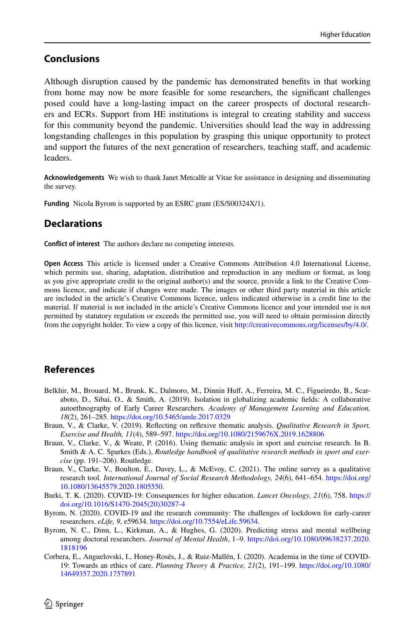## **Conclusions**

Although disruption caused by the pandemic has demonstrated benefts in that working from home may now be more feasible for some researchers, the signifcant challenges posed could have a long-lasting impact on the career prospects of doctoral researchers and ECRs. Support from HE institutions is integral to creating stability and success for this community beyond the pandemic. Universities should lead the way in addressing longstanding challenges in this population by grasping this unique opportunity to protect and support the futures of the next generation of researchers, teaching staff, and academic leaders.

**Acknowledgements** We wish to thank Janet Metcalfe at Vitae for assistance in designing and disseminating the survey.

**Funding** Nicola Byrom is supported by an ESRC grant (ES/S00324X/1).

#### **Declarations**

**Confict of interest** The authors declare no competing interests.

**Open Access** This article is licensed under a Creative Commons Attribution 4.0 International License, which permits use, sharing, adaptation, distribution and reproduction in any medium or format, as long as you give appropriate credit to the original author(s) and the source, provide a link to the Creative Commons licence, and indicate if changes were made. The images or other third party material in this article are included in the article's Creative Commons licence, unless indicated otherwise in a credit line to the material. If material is not included in the article's Creative Commons licence and your intended use is not permitted by statutory regulation or exceeds the permitted use, you will need to obtain permission directly from the copyright holder. To view a copy of this licence, visit [http://creativecommons.org/licenses/by/4.0/.](http://creativecommons.org/licenses/by/4.0/)

## **References**

- <span id="page-15-6"></span>Belkhir, M., Brouard, M., Brunk, K., Dalmoro, M., Dinnin Huff, A., Ferreira, M. C., Figueiredo, B., Scaraboto, D., Sibai, O., & Smith, A. (2019). Isolation in globalizing academic felds: A collaborative autoethnography of Early Career Researchers. *Academy of Management Learning and Education, 18*(2), 261–285.<https://doi.org/10.5465/amle.2017.0329>
- <span id="page-15-5"></span>Braun, V., & Clarke, V. (2019). Refecting on refexive thematic analysis. *Qualitative Research in Sport, Exercise and Health, 11*(4), 589–597.<https://doi.org/10.1080/2159676X.2019.1628806>
- <span id="page-15-4"></span>Braun, V., Clarke, V., & Weate, P. (2016). Using thematic analysis in sport and exercise research. In B. Smith & A. C. Sparkes (Eds.), *Routledge handbook of qualitative research methods in sport and exercise* (pp. 191–206). Routledge.
- <span id="page-15-3"></span>Braun, V., Clarke, V., Boulton, E., Davey, L., & McEvoy, C. (2021). The online survey as a qualitative research tool. *International Journal of Social Research Methodology, 24*(6), 641–654. [https://doi.org/](https://doi.org/10.1080/13645579.2020.1805550) [10.1080/13645579.2020.1805550](https://doi.org/10.1080/13645579.2020.1805550).
- <span id="page-15-7"></span>Burki, T. K. (2020). COVID-19: Consequences for higher education. *Lancet Oncology, 21*(6), 758. [https://](https://doi.org/10.1016/S1470-2045(20)30287-4) [doi.org/10.1016/S1470-2045\(20\)30287-4](https://doi.org/10.1016/S1470-2045(20)30287-4)
- <span id="page-15-2"></span>Byrom, N. (2020). COVID-19 and the research community: The challenges of lockdown for early-career researchers. *eLife, 9*, e59634. <https://doi.org/10.7554/eLife.59634>.
- <span id="page-15-1"></span>Byrom, N. C., Dinu, L., Kirkman, A., & Hughes, G. (2020). Predicting stress and mental wellbeing among doctoral researchers. *Journal of Mental Health*, 1–9. [https://doi.org/10.1080/09638237.2020.](https://doi.org/10.1080/09638237.2020.1818196) [1818196](https://doi.org/10.1080/09638237.2020.1818196)
- <span id="page-15-0"></span>Corbera, E., Anguelovski, I., Honey-Rosés, J., & Ruiz-Mallén, I. (2020). Academia in the time of COVID-19: Towards an ethics of care. *Planning Theory & Practice, 21*(2), 191–199. [https://doi.org/10.1080/](https://doi.org/10.1080/14649357.2020.1757891) [14649357.2020.1757891](https://doi.org/10.1080/14649357.2020.1757891)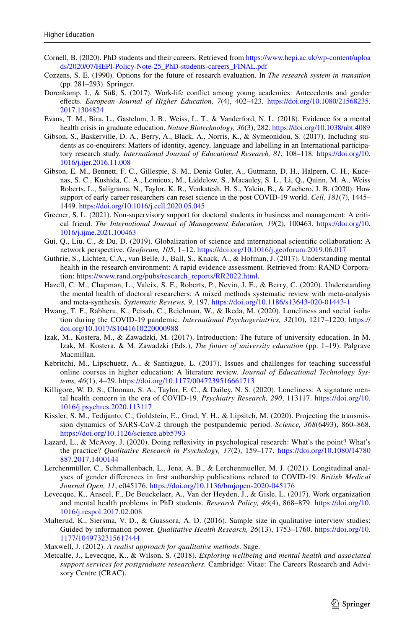- <span id="page-16-8"></span>Cornell, B. (2020). PhD students and their careers. Retrieved from [https://www.hepi.ac.uk/wp-content/uploa](https://www.hepi.ac.uk/wp-content/uploads/2020/07/HEPI-Policy-Note-25_PhD-students-careers_FINAL.pdf) [ds/2020/07/HEPI-Policy-Note-25\\_PhD-students-careers\\_FINAL.pdf](https://www.hepi.ac.uk/wp-content/uploads/2020/07/HEPI-Policy-Note-25_PhD-students-careers_FINAL.pdf)
- <span id="page-16-7"></span>Cozzens, S. E. (1990). Options for the future of research evaluation. In *The research system in transition* (pp. 281–293). Springer.
- <span id="page-16-9"></span>Dorenkamp, I., & Süß, S. (2017). Work-life confict among young academics: Antecedents and gender efects. *European Journal of Higher Education, 7*(4), 402–423. [https://doi.org/10.1080/21568235.](https://doi.org/10.1080/21568235.2017.1304824) [2017.1304824](https://doi.org/10.1080/21568235.2017.1304824)
- <span id="page-16-5"></span>Evans, T. M., Bira, L., Gastelum, J. B., Weiss, L. T., & Vanderford, N. L. (2018). Evidence for a mental health crisis in graduate education. *Nature Biotechnology, 36*(3), 282.<https://doi.org/10.1038/nbt.4089>
- <span id="page-16-12"></span>Gibson, S., Baskerville, D. A., Berry, A., Black, A., Norris, K., & Symeonidou, S. (2017). Including students as co-enquirers: Matters of identity, agency, language and labelling in an International participatory research study. *International Journal of Educational Research, 81*, 108–118. [https://doi.org/10.](https://doi.org/10.1016/j.ijer.2016.11.008) [1016/j.ijer.2016.11.008](https://doi.org/10.1016/j.ijer.2016.11.008)
- <span id="page-16-1"></span>Gibson, E. M., Bennett, F. C., Gillespie, S. M., Deniz Guler, A., Gutmann, D. H., Halpern, C. H., Kucenas, S. C., Kushida, C. A., Lemieux, M., Liddelow, S., Macauley, S. L., Li, Q., Quinn, M. A., Weiss Roberts, L., Saligrama, N., Taylor, K. R., Venkatesh, H. S., Yalcin, B., & Zuchero, J. B. (2020). How support of early career researchers can reset science in the post COVID-19 world. *Cell, 181*(7), 1445– 1449. <https://doi.org/10.1016/j.cell.2020.05.045>
- <span id="page-16-2"></span>Greener, S. L. (2021). Non-supervisory support for doctoral students in business and management: A critical friend. *The International Journal of Management Education, 19*(2), 100463. [https://doi.org/10.](https://doi.org/10.1016/j.ijme.2021.100463) [1016/j.ijme.2021.100463](https://doi.org/10.1016/j.ijme.2021.100463)
- <span id="page-16-10"></span>Gui, Q., Liu, C., & Du, D. (2019). Globalization of science and international scientifc collaboration: A network perspective. *Geoforum, 105*, 1–12. <https://doi.org/10.1016/j.geoforum.2019.06.017>
- <span id="page-16-17"></span>Guthrie, S., Lichten, C.A., van Belle, J., Ball, S., Knack, A., & Hofman, J. (2017). Understanding mental health in the research environment: A rapid evidence assessment. Retrieved from: RAND Corporation: [https://www.rand.org/pubs/research\\_reports/RR2022.html.](https://www.rand.org/pubs/research_reports/RR2022.html)
- <span id="page-16-20"></span>Hazell, C. M., Chapman, L., Valeix, S. F., Roberts, P., Nevin, J. E., & Berry, C. (2020). Understanding the mental health of doctoral researchers: A mixed methods systematic review with meta-analysis and meta-synthesis. *Systematic Reviews, 9*, 197.<https://doi.org/10.1186/s13643-020-01443-1>
- <span id="page-16-18"></span>Hwang, T. F., Rabheru, K., Peisah, C., Reichman, W., & Ikeda, M. (2020). Loneliness and social isolation during the COVID-19 pandemic. *International Psychogeriatrics, 32*(10), 1217–1220. [https://](https://doi.org/10.1017/S1041610220000988) [doi.org/10.1017/S1041610220000988](https://doi.org/10.1017/S1041610220000988)
- <span id="page-16-3"></span>Izak, M., Kostera, M., & Zawadzki, M. (2017). Introduction: The future of university education. In M. Izak, M. Kostera, & M. Zawadzki (Eds.), *The future of university education* (pp. 1–19). Palgrave Macmillan.
- <span id="page-16-16"></span>Kebritchi, M., Lipschuetz, A., & Santiague, L. (2017). Issues and challenges for teaching successful online courses in higher education: A literature review. *Journal of Educational Technology Systems, 46*(1), 4–29. <https://doi.org/10.1177/0047239516661713>
- <span id="page-16-19"></span>Killigore, W. D. S., Cloonan, S. A., Taylor, E. C., & Dailey, N. S. (2020). Loneliness: A signature mental health concern in the era of COVID-19. *Psychiatry Research, 290*, 113117. [https://doi.org/10.](https://doi.org/10.1016/j.psychres.2020.113117) [1016/j.psychres.2020.113117](https://doi.org/10.1016/j.psychres.2020.113117)
- <span id="page-16-0"></span>Kissler, S. M., Tedijanto, C., Goldstein, E., Grad, Y. H., & Lipsitch, M. (2020). Projecting the transmission dynamics of SARS-CoV-2 through the postpandemic period. *Science, 368*(6493), 860–868. <https://doi.org/10.1126/science.abb5793>
- <span id="page-16-13"></span>Lazard, L., & McAvoy, J. (2020). Doing refexivity in psychological research: What's the point? What's the practice? *Qualitative Research in Psychology, 17*(2), 159–177. [https://doi.org/10.1080/14780](https://doi.org/10.1080/14780887.2017.1400144) [887.2017.1400144](https://doi.org/10.1080/14780887.2017.1400144)
- <span id="page-16-15"></span>Lerchenmüller, C., Schmallenbach, L., Jena, A. B., & Lerchenmueller, M. J. (2021). Longitudinal analyses of gender diferences in frst authorship publications related to COVID-19. *British Medical Journal Open, 11*, e045176. <https://doi.org/10.1136/bmjopen-2020-045176>
- <span id="page-16-6"></span>Levecque, K., Anseel, F., De Beuckelaer, A., Van der Heyden, J., & Gisle, L. (2017). Work organization and mental health problems in PhD students. *Research Policy, 46*(4), 868–879. [https://doi.org/10.](https://doi.org/10.1016/j.respol.2017.02.008) [1016/j.respol.2017.02.008](https://doi.org/10.1016/j.respol.2017.02.008)
- <span id="page-16-11"></span>Malterud, K., Siersma, V. D., & Guassora, A. D. (2016). Sample size in qualitative interview studies: Guided by information power. *Qualitative Health Research, 26*(13), 1753–1760. [https://doi.org/10.](https://doi.org/10.1177/1049732315617444) [1177/1049732315617444](https://doi.org/10.1177/1049732315617444)

<span id="page-16-14"></span>Maxwell, J. (2012). *A realist approach for qualitative methods*. Sage.

<span id="page-16-4"></span>Metcalfe, J., Levecque, K., & Wilson, S. (2018). *Exploring wellbeing and mental health and associated support services for postgraduate researchers.* Cambridge: Vitae: The Careers Research and Advisory Centre (CRAC).